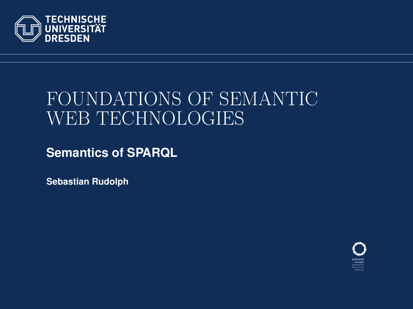

# FOUNDATIONS OF SEMANTIC WEB TECHNOLOGIES

**Semantics of SPARQL**

**Sebastian Rudolph**

<span id="page-0-0"></span>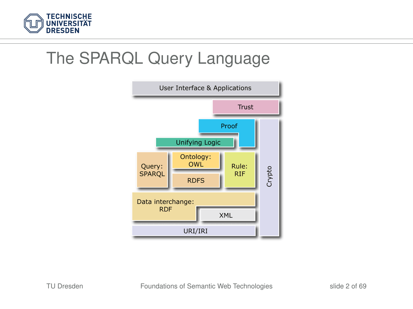

#### The SPARQL Query Language

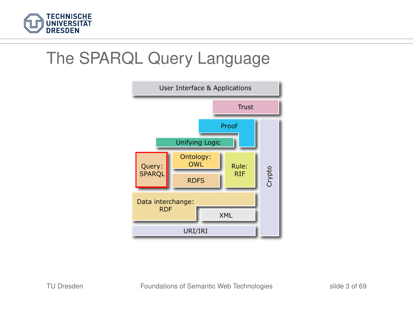

### The SPARQL Query Language

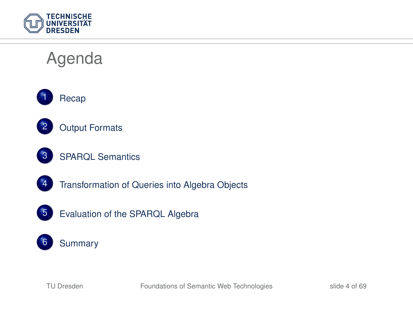

## Agenda





- [Output Formats](#page-7-0)
- [SPARQL Semantics](#page-15-0)
- [Transformation of Queries into Algebra Objects](#page-23-0)
- 
- [Evaluation of the SPARQL Algebra](#page-39-0)

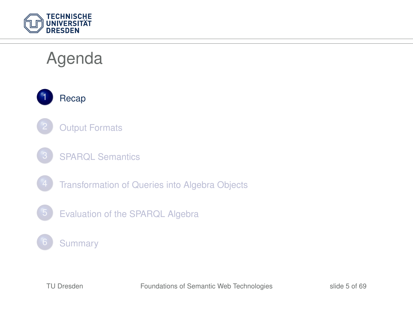

# Agenda

1 [Recap](#page-5-0)

- **[Output Formats](#page-7-0)**
- **[SPARQL Semantics](#page-15-0)** 
	- [Transformation of Queries into Algebra Objects](#page-23-0)
- 5 [Evaluation of the SPARQL Algebra](#page-39-0)

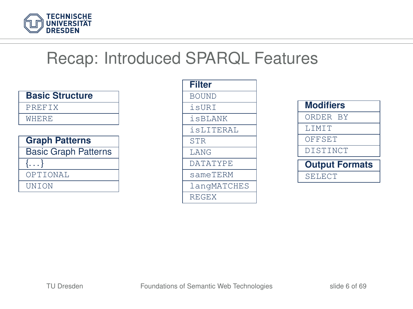

### Recap: Introduced SPARQL Features

| <b>Basic Structure</b>      |
|-----------------------------|
| PREFTX                      |
| <b>WHERE</b>                |
|                             |
| <b>Graph Patterns</b>       |
| <b>Basic Graph Patterns</b> |
| $\{ \ldots \}$              |
| OPTIONAL                    |
| UNTON                       |

| <b>Filter</b>   |
|-----------------|
| <b>BOUND</b>    |
| isURT           |
| isBLANK         |
| isLITERAL       |
| <b>STR</b>      |
| <b>T.ANG</b>    |
| <b>DATATYPE</b> |
| sameTERM        |
| langMATCHES     |
| <b>REGEX</b>    |

<span id="page-5-0"></span>

| <b>Modifiers</b>      |
|-----------------------|
| ORDER BY              |
| <b>T.TMTT</b>         |
| OFFSET                |
| DISTINCT              |
| <b>Output Formats</b> |
| SELECT                |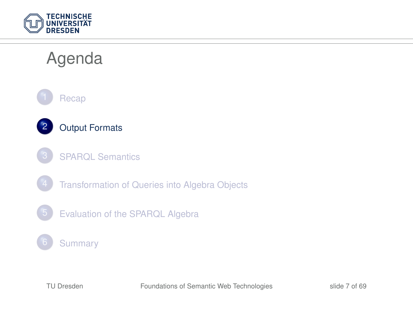

### Agenda





- **[SPARQL Semantics](#page-15-0)**
- [Transformation of Queries into Algebra Objects](#page-23-0)
- 5 [Evaluation of the SPARQL Algebra](#page-39-0)

#### **[Summary](#page-67-0)**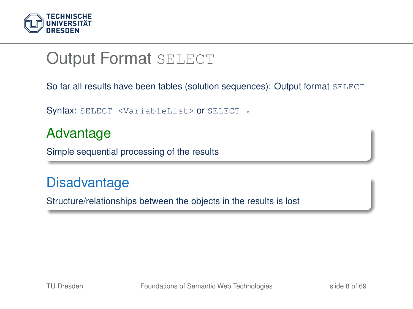

#### **Output Format SELECT**

So far all results have been tables (solution sequences): Output format SELECT

Syntax: SELECT <VariableList> or SELECT \*

#### Advantage

Simple sequential processing of the results

#### **Disadvantage**

<span id="page-7-0"></span>Structure/relationships between the objects in the results is lost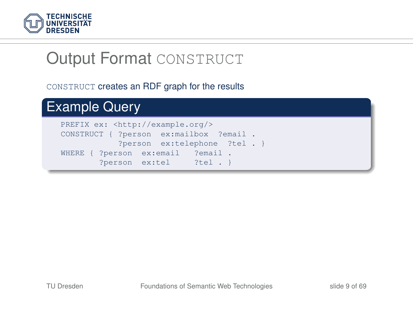

### **Output Format CONSTRUCT**

#### CONSTRUCT creates an RDF graph for the results

#### Example Query PREFIX ex: <http://example.org/> CONSTRUCT { ?person ex:mailbox ?email . ?person ex:telephone ?tel . } WHERE { ?person ex:email ?email . ?person ex:tel ?tel . }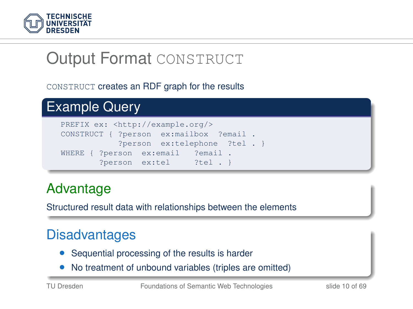

# **Output Format CONSTRUCT**

#### CONSTRUCT creates an RDF graph for the results

```
Example Query
```


#### Advantage

Structured result data with relationships between the elements

#### **Disadvantages**

- Sequential processing of the results is harder
- No treatment of unbound variables (triples are omitted)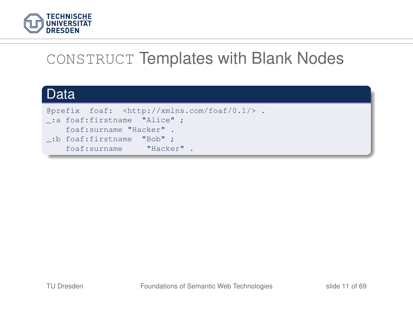

### CONSTRUCT Templates with Blank Nodes

#### Data

@prefix foaf: <http://xmlns.com/foaf/0.1/> . \_:a foaf:firstname "Alice" ; foaf:surname "Hacker" . \_:b foaf:firstname "Bob" ; foaf:surname "Hacker" .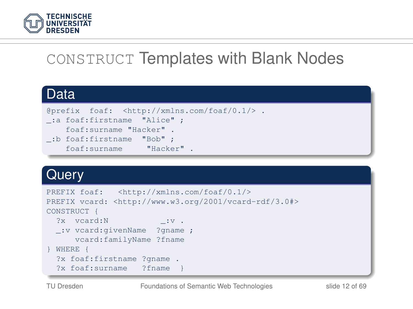

### CONSTRUCT Templates with Blank Nodes

#### Data

```
@prefix foaf: <http://xmlns.com/foaf/0.1/> .
_:a foaf:firstname "Alice" ;
   foaf:surname "Hacker" .
_:b foaf:firstname "Bob" ;
    foaf:surname "Hacker" .
```
#### **Query**

|         |                            | PREFIX foaf: <http: 0.1="" foaf="" xmlns.com=""></http:>                 |  |
|---------|----------------------------|--------------------------------------------------------------------------|--|
|         |                            | PREFIX vcard: <http: 2001="" 3.0#="" vcard-rdf="" www.w3.org=""></http:> |  |
|         | CONSTRUCT {                |                                                                          |  |
|         | ?x vcard:N                 | $\cdot \cdot \cdot$                                                      |  |
|         |                            | :v vcard:givenName ?gname ;                                              |  |
|         |                            | vcard:familyName ?fname                                                  |  |
| WHERE { |                            |                                                                          |  |
|         | ?x foaf:firstname ?gname . |                                                                          |  |
|         | ?x foaf:surname ?fname     |                                                                          |  |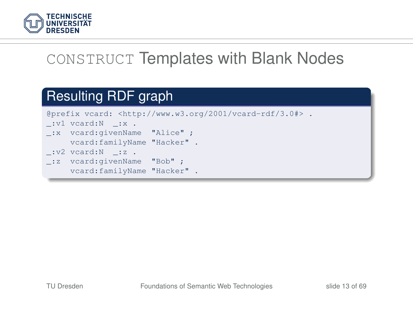

### CONSTRUCT Templates with Blank Nodes

#### Resulting RDF graph

@prefix vcard: <http://www.w3.org/2001/vcard-rdf/3.0#> .  $\_:$ v $1$  vcard: $N$   $\_:$ x . \_:x vcard:givenName "Alice" ; vcard:familyName "Hacker" .  $\lnot v^2$  vcard:  $\lnot z$  . \_:z vcard:givenName "Bob" ; vcard:familyName "Hacker" .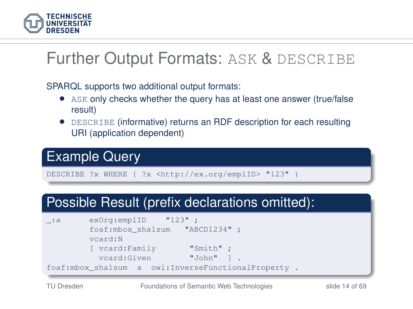

#### Further Output Formats: ASK & DESCRIBE

SPARQL supports two additional output formats:

- ASK only checks whether the query has at least one answer (true/false result)
- DESCRIBE (informative) returns an RDF description for each resulting URI (application dependent)

#### Example Query

DESCRIBE ?x WHERE { ?x <http://ex.org/emplID> "123" }

#### Possible Result (prefix declarations omitted):

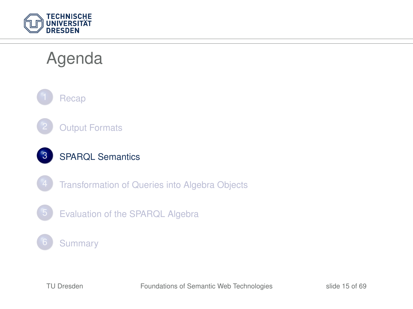

### Agenda







- [Transformation of Queries into Algebra Objects](#page-23-0)
- 5 [Evaluation of the SPARQL Algebra](#page-39-0)

#### **[Summary](#page-67-0)**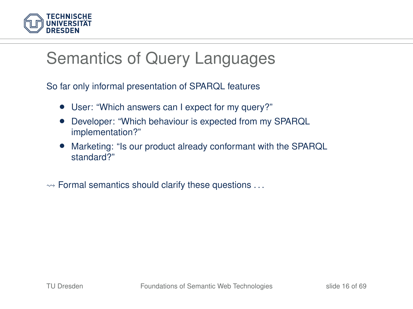

#### Semantics of Query Languages

So far only informal presentation of SPARQL features

- User: "Which answers can I expect for my query?"
- Developer: "Which behaviour is expected from my SPARQL implementation?"
- Marketing: "Is our product already conformant with the SPARQL standard?"
- <span id="page-15-0"></span> $\rightsquigarrow$  Formal semantics should clarify these questions  $\dots$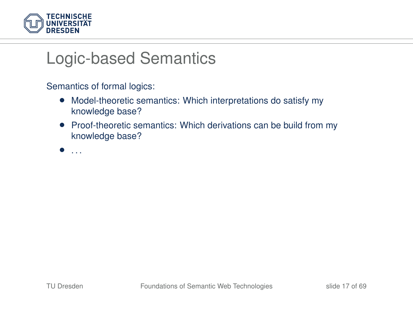

#### Logic-based Semantics

Semantics of formal logics:

- Model-theoretic semantics: Which interpretations do satisfy my knowledge base?
- Proof-theoretic semantics: Which derivations can be build from my knowledge base?

• . . .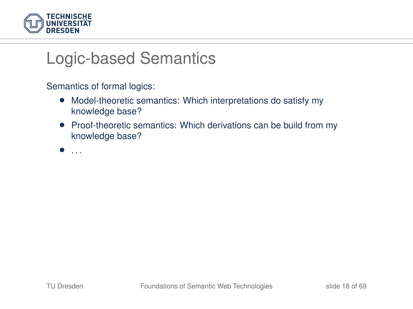

#### Logic-based Semantics

Semantics of formal logics:

- Model-theoretic semantics: Which interpretations do satisfy my knowledge base?
- Proof-theoretic semantics: Which derivations can be build from my knowledge base?

• . . .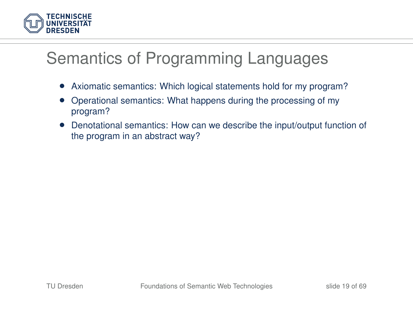

### Semantics of Programming Languages

- Axiomatic semantics: Which logical statements hold for my program?
- Operational semantics: What happens during the processing of my program?
- Denotational semantics: How can we describe the input/output function of the program in an abstract way?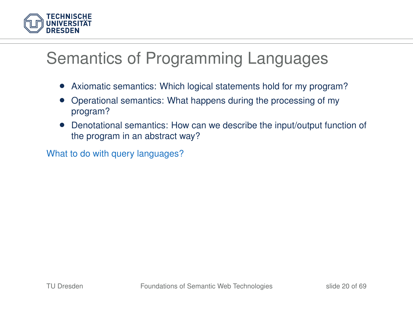

#### Semantics of Programming Languages

- Axiomatic semantics: Which logical statements hold for my program?
- Operational semantics: What happens during the processing of my program?
- Denotational semantics: How can we describe the input/output function of the program in an abstract way?

What to do with query languages?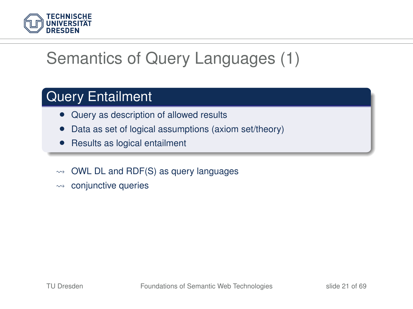

## Semantics of Query Languages (1)

#### Query Entailment

- Query as description of allowed results
- Data as set of logical assumptions (axiom set/theory)
- Results as logical entailment
- $\rightarrow$  OWL DL and RDF(S) as query languages
- $\rightarrow$  conjunctive queries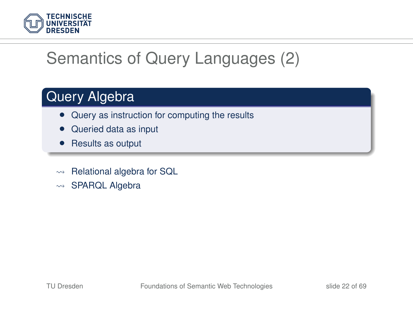

## Semantics of Query Languages (2)

#### Query Algebra

- Query as instruction for computing the results
- Queried data as input
- Results as output
- $\rightarrow$  Relational algebra for SQL
- $\rightarrow$  SPARQL Algebra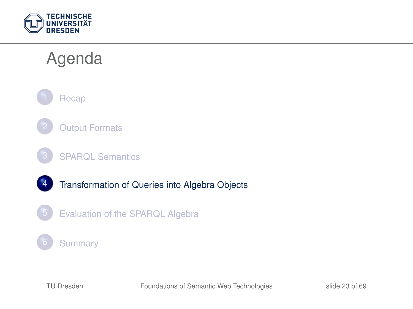

### Agenda



- **[Output Formats](#page-7-0)**
- **[SPARQL Semantics](#page-15-0)**
- 4 [Transformation of Queries into Algebra Objects](#page-23-0)
	- 5 [Evaluation of the SPARQL Algebra](#page-39-0)

#### **[Summary](#page-67-0)**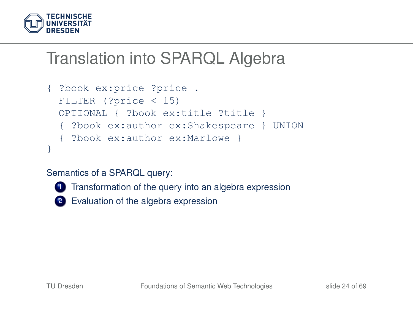

```
{ ?book ex:price ?price .
 FILTER (?price < 15)
 OPTIONAL { ?book ex:title ?title }
  { ?book ex:author ex:Shakespeare } UNION
  { ?book ex:author ex:Marlowe }
}
```
#### Semantics of a SPARQL query:



**1** Transformation of the query into an algebra expression

<span id="page-23-0"></span>2 Evaluation of the algebra expression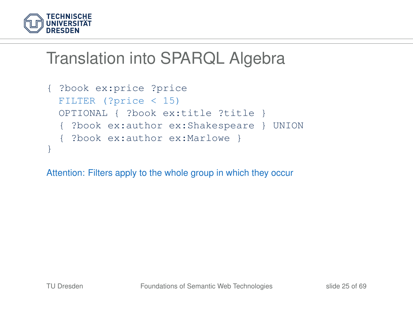

```
{ ?book ex:price ?price
 FILTER (?price < 15)
 OPTIONAL { ?book ex:title ?title }
  { ?book ex:author ex:Shakespeare } UNION
  { ?book ex:author ex:Marlowe }
}
```
Attention: Filters apply to the whole group in which they occur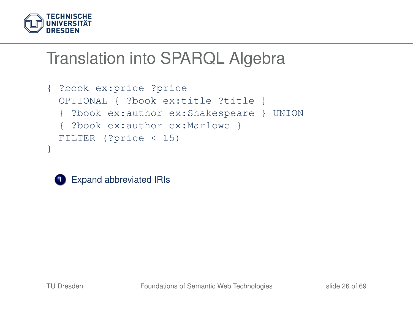

```
{ ?book ex:price ?price
 OPTIONAL { ?book ex:title ?title }
  { ?book ex:author ex:Shakespeare } UNION
  { ?book ex:author ex:Marlowe }
 FILTER (?price < 15)
}
```


**1** Expand abbreviated IRIs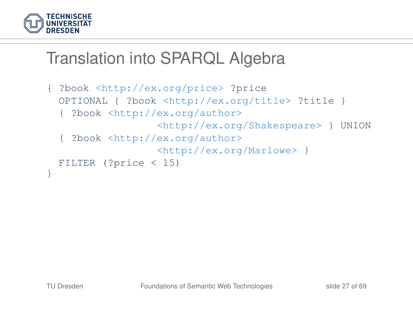

```
{ ?book <http://ex.org/price> ?price
 OPTIONAL { ?book <http://ex.org/title> ?title }
  { ?book <http://ex.org/author>
                  <http://ex.org/Shakespeare> } UNION
  { ?book <http://ex.org/author>
                  <http://ex.org/Marlowe> }
 FILTER (?price < 15)
}
```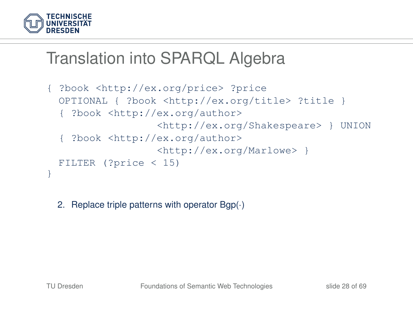

```
{ ?book <http://ex.org/price> ?price
 OPTIONAL { ?book <http://ex.org/title> ?title }
  { ?book <http://ex.org/author>
                  <http://ex.org/Shakespeare> } UNION
   { ?book <http://ex.org/author>
                  <http://ex.org/Marlowe> }
 FILTER (?price < 15)
}
```
2. Replace triple patterns with operator Bgp(·)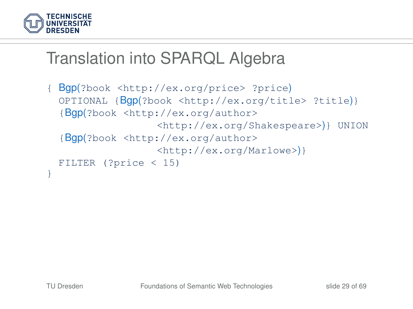

```
{ Bgp(?book <http://ex.org/price> ?price)
 OPTIONAL {Bgp(?book <http://ex.org/title> ?title)}
  {Bgp(?book <http://ex.org/author>
                  <http://ex.org/Shakespeare>)} UNION
  {Bgp(?book <http://ex.org/author>
                  <http://ex.org/Marlowe>)}
 FILTER (?price < 15)
}
```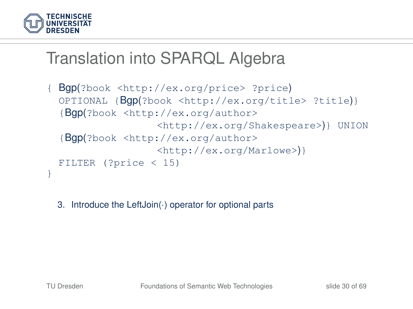

```
{ Bgp(?book <http://ex.org/price> ?price)
 OPTIONAL {Bgp(?book <http://ex.org/title> ?title)}
  {Bgp(?book <http://ex.org/author>
                  <http://ex.org/Shakespeare>)} UNION
  {Bgp(?book <http://ex.org/author>
                  <http://ex.org/Marlowe>)}
 FILTER (?price < 15)
}
```
3. Introduce the LeftJoin(·) operator for optional parts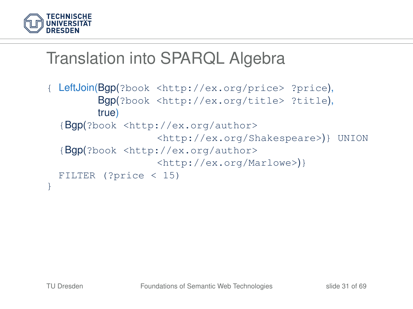

```
{ LeftJoin(Bgp(?book <http://ex.org/price> ?price),
        Bgp(?book <http://ex.org/title> ?title),
        true)
  {Bgp(?book <http://ex.org/author>
                   <http://ex.org/Shakespeare>)} UNION
  {Bgp(?book <http://ex.org/author>
                  <http://ex.org/Marlowe>)}
 FILTER (?price < 15)
}
```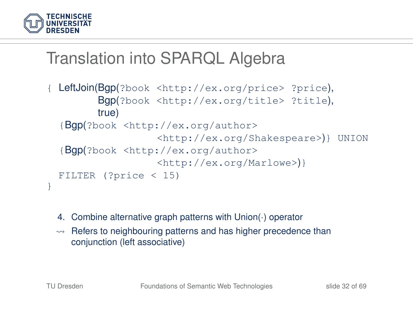

```
LeftJoin(Bgp(?book <http://ex.org/price> ?price),
        Bgp(?book <http://ex.org/title> ?title),
        true)
  {Bgp(?book <http://ex.org/author>
                   <http://ex.org/Shakespeare>)} UNION
  {Bgp(?book <http://ex.org/author>
                   <http://ex.org/Marlowe>)}
 FILTER (?price < 15)
}
```
- 4. Combine alternative graph patterns with Union(·) operator
- $\rightarrow$  Refers to neighbouring patterns and has higher precedence than conjunction (left associative)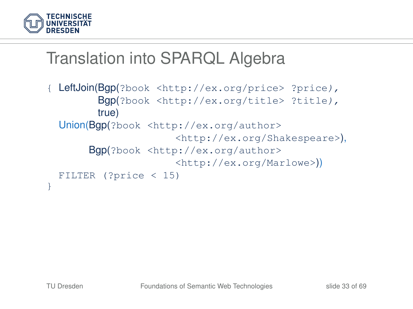

```
LeftJoin(Bgp(?book <http://ex.org/price> ?price),
        Bgp(?book <http://ex.org/title> ?title),
        true)
 Union(Bgp(?book <http://ex.org/author>
                      <http://ex.org/Shakespeare>),
       Bgp(?book <http://ex.org/author>
                      <http://ex.org/Marlowe>))
 FILTER (?price < 15)
}
```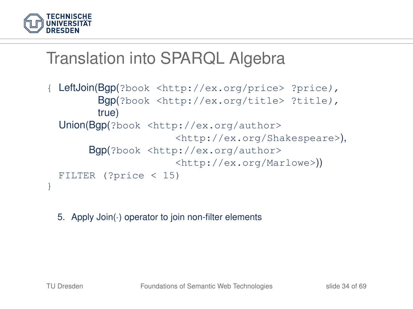

```
LeftJoin(Bgp(?book <http://ex.org/price> ?price),
        Bgp(?book <http://ex.org/title> ?title),
        true)
 Union(Bgp(?book <http://ex.org/author>
                      <http://ex.org/Shakespeare>),
       Bgp(?book <http://ex.org/author>
                      <http://ex.org/Marlowe>))
 FILTER (?price < 15)
}
```
5. Apply Join(·) operator to join non-filter elements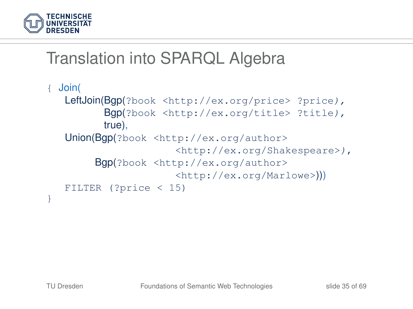

```
{ Join(
  LeftJoin(Bgp(?book <http://ex.org/price> ?price),
         Bgp(?book <http://ex.org/title> ?title),
         true),
  Union(Bgp(?book <http://ex.org/author>
                      <http://ex.org/Shakespeare>),
        Bgp(?book <http://ex.org/author>
                      <http://ex.org/Marlowe>)))
  FILTER (?price < 15)
}
```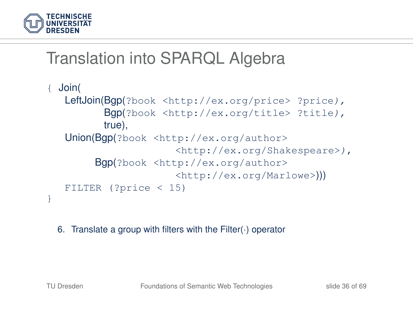

```
{ Join(
  LeftJoin(Bgp(?book <http://ex.org/price> ?price),
         Bgp(?book <http://ex.org/title> ?title),
         true),
  Union(Bgp(?book <http://ex.org/author>
                      <http://ex.org/Shakespeare>),
        Bgp(?book <http://ex.org/author>
                      <http://ex.org/Marlowe>)))
  FILTER (?price < 15)
}
```
6. Translate a group with filters with the Filter(·) operator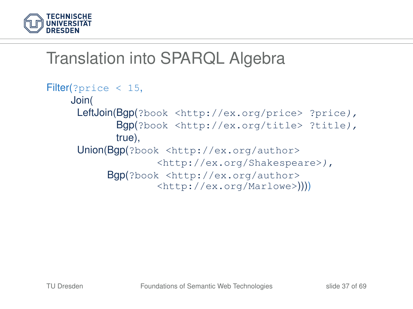

```
Filter(?price < 15,
    Join(
     LeftJoin(Bgp(?book <http://ex.org/price> ?price),
            Bgp(?book <http://ex.org/title> ?title),
            true),
     Union(Bgp(?book <http://ex.org/author>
                   <http://ex.org/Shakespeare>),
          Bgp(?book <http://ex.org/author>
                   <http://ex.org/Marlowe>))))
```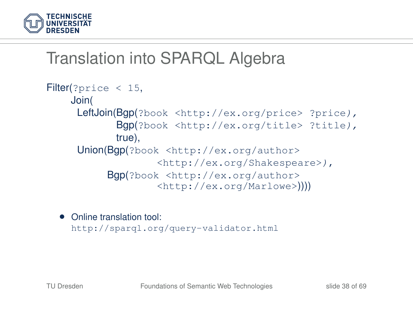

```
Filter(?price < 15,
    Join(
     LeftJoin(Bgp(?book <http://ex.org/price> ?price),
            Bgp(?book <http://ex.org/title> ?title),
            true),
     Union(Bgp(?book <http://ex.org/author>
                   <http://ex.org/Shakespeare>),
          Bgp(?book <http://ex.org/author>
                   <http://ex.org/Marlowe>))))
```
• Online translation tool: <http://sparql.org/query-validator.html>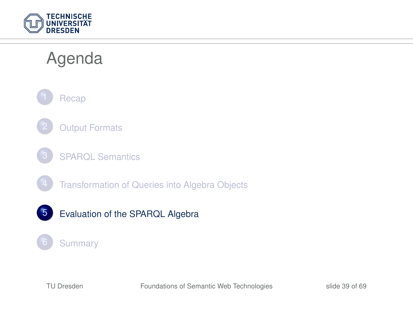

### Agenda



- **[Output Formats](#page-7-0)**
- **[SPARQL Semantics](#page-15-0)** 
	- [Transformation of Queries into Algebra Objects](#page-23-0)
- 5 [Evaluation of the SPARQL Algebra](#page-39-0)

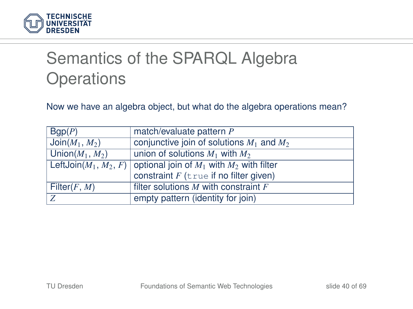

# Semantics of the SPARQL Algebra **Operations**

Now we have an algebra object, but what do the algebra operations mean?

<span id="page-39-0"></span>

| Bqp(P)             | match/evaluate pattern P                                               |
|--------------------|------------------------------------------------------------------------|
| $Join(M_1, M_2)$   | conjunctive join of solutions $M_1$ and $M_2$                          |
| Union $(M_1, M_2)$ | union of solutions $M_1$ with $M_2$                                    |
|                    | LeftJoin $(M_1, M_2, F)$ optional join of $M_1$ with $M_2$ with filter |
|                    | constraint $F$ (true if no filter given)                               |
| Filter $(F, M)$    | filter solutions $M$ with constraint $F$                               |
| Z                  | empty pattern (identity for join)                                      |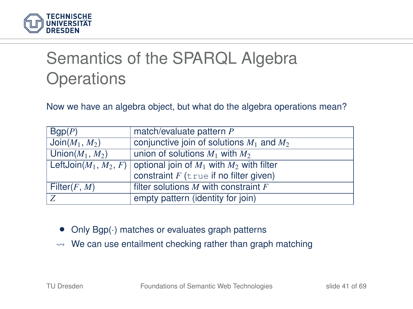

# Semantics of the SPARQL Algebra **Operations**

Now we have an algebra object, but what do the algebra operations mean?

| Bqp(P)             | match/evaluate pattern P                                               |
|--------------------|------------------------------------------------------------------------|
| $Join(M_1, M_2)$   | conjunctive join of solutions $M_1$ and $M_2$                          |
| Union $(M_1, M_2)$ | union of solutions $M_1$ with $M_2$                                    |
|                    | LeftJoin $(M_1, M_2, F)$ optional join of $M_1$ with $M_2$ with filter |
|                    | constraint $F$ (true if no filter given)                               |
| Filter $(F, M)$    | filter solutions $M$ with constraint $F$                               |
| Z                  | empty pattern (identity for join)                                      |

- Only  $Bgp(\cdot)$  matches or evaluates graph patterns
- $\rightarrow$  We can use entailment checking rather than graph matching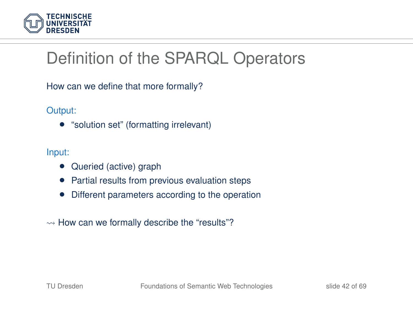

# Definition of the SPARQL Operators

How can we define that more formally?

Output:

• "solution set" (formatting irrelevant)

Input:

- Queried (active) graph
- Partial results from previous evaluation steps
- Different parameters according to the operation
- $\rightarrow$  How can we formally describe the "results"?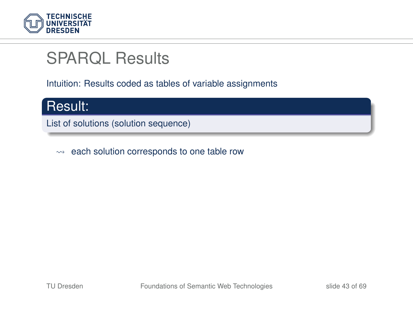

#### SPARQL Results

Intuition: Results coded as tables of variable assignments



List of solutions (solution sequence)

 $\rightsquigarrow$  each solution corresponds to one table row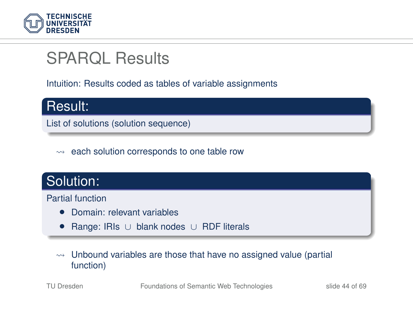

### SPARQL Results

Intuition: Results coded as tables of variable assignments



 $\rightarrow$  each solution corresponds to one table row

#### Solution:

Partial function

- Domain: relevant variables
- Range: IRIs ∪ blank nodes ∪ RDF literals
- $\rightarrow$  Unbound variables are those that have no assigned value (partial function)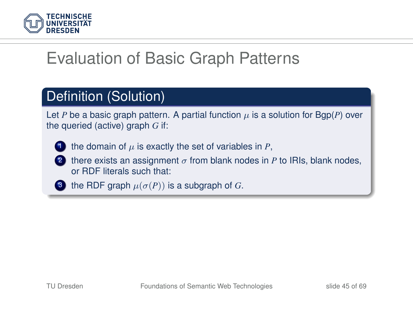

# Evaluation of Basic Graph Patterns

#### Definition (Solution)

Let *P* be a basic graph pattern. A partial function  $\mu$  is a solution for Bgp(*P*) over the queried (active) graph *G* if:



the domain of  $\mu$  is exactly the set of variables in  $P$ ,

there exists an assignment  $\sigma$  from blank nodes in *P* to IRIs, blank nodes, or RDF literals such that:

3 the RDF graph  $\mu(\sigma(P))$  is a subgraph of *G*.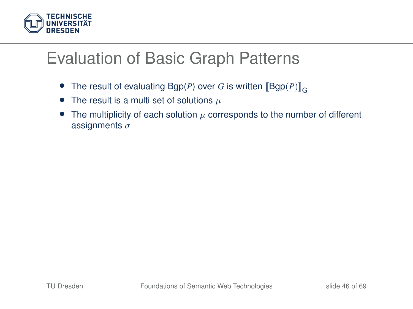

### Evaluation of Basic Graph Patterns

- The result of evaluating Bgp(P) over G is written  $[\mathsf{Bgp}(P)]_{\mathsf{G}}$
- The result is a multi set of solutions  $\mu$
- The multiplicity of each solution  $\mu$  corresponds to the number of different assignments  $\sigma$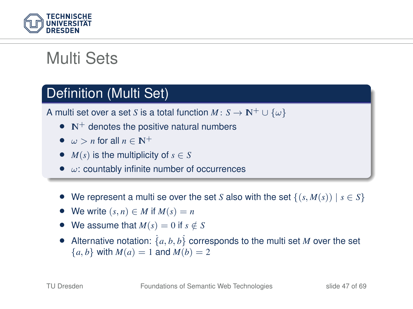

# Multi Sets

#### Definition (Multi Set)

A multi set over a set *S* is a total function  $M: S \to \mathbb{N}^+ \cup \{\omega\}$ 

- $\bullet$  N<sup>+</sup> denotes the positive natural numbers
- $\omega > n$  for all  $n \in \mathbb{N}^+$
- $M(s)$  is the multiplicity of  $s \in S$
- $\bullet$   $\omega$ : countably infinite number of occurrences
- We represent a multi se over the set *S* also with the set  $\{(s, M(s)) \mid s \in S\}$
- We write  $(s, n) \in M$  if  $M(s) = n$
- We assume that  $M(s) = 0$  if  $s \notin S$
- Alternative notation:  $\{a, b, b\}$  corresponds to the multi set *M* over the set  ${a, b}$  with  $M(a) = 1$  and  $M(b) = 2$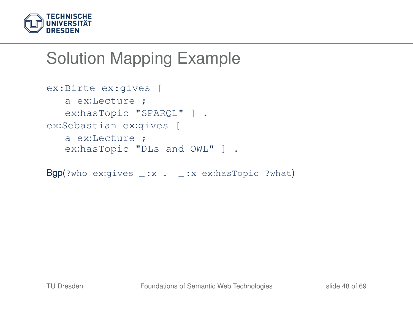

```
ex:Birte ex:gives [
   a ex:Lecture ;
   ex:hasTopic "SPAROL" ] .
ex:Sebastian ex:gives [
   a ex:Lecture ;
   ex:hasTopic "DLs and OWL" ] .
```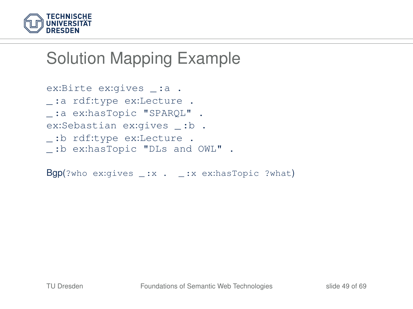

```
ex:Birte ex:gives _: a .
_ :a rdf:type ex:Lecture .
_ :a ex:hasTopic "SPARQL" .
ex:Sebastian ex:gives _ :b .
_ :b rdf:type ex:Lecture .
_ :b ex:hasTopic "DLs and OWL" .
```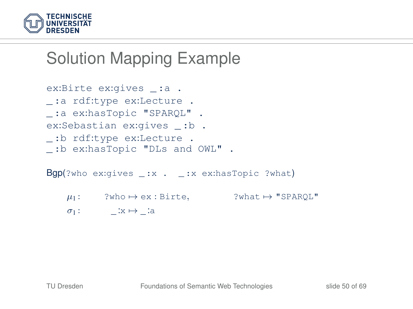

```
ex:Birte ex:gives _: a .
_ :a rdf:type ex:Lecture .
_ :a ex:hasTopic "SPARQL" .
ex:Sebastian ex:gives _ :b .
_ :b rdf:type ex:Lecture .
_ :b ex:hasTopic "DLs and OWL" .
```
- $\mu_1$ : ?who  $\mapsto$  ex : Birte, ?what  $\mapsto$  "SPARQL"
- $\sigma_1$ :  $\qquad \qquad \_ \cdot x \mapsto \_ \cdot a$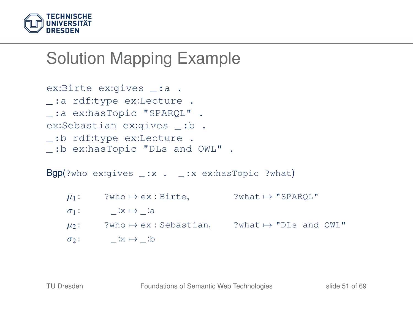

```
ex:Birte ex:gives _: a .
_ :a rdf:type ex:Lecture .
_ :a ex:hasTopic "SPARQL" .
ex:Sebastian ex:gives _ :b .
_ :b rdf:type ex:Lecture .
_ :b ex:hasTopic "DLs and OWL" .
```
- $\mu_1$ : ?who  $\mapsto$  ex : Birte, ?what  $\mapsto$  "SPARQL"
- $\sigma_1$ :  $\qquad \qquad \_ \cdot x \mapsto \_ \cdot a$
- $\mu_2$ : ?who  $\mapsto$  ex : Sebastian, ?what  $\mapsto$  "DLs and OWL"
- $\sigma_2$ :  $\qquad \qquad \text{or} \qquad \qquad \text{or}$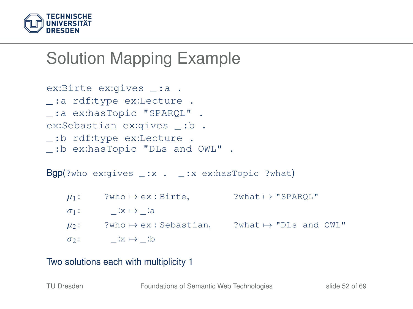

```
ex:Birte ex:gives _: a .
_ :a rdf:type ex:Lecture .
_ :a ex:hasTopic "SPARQL" .
ex:Sebastian ex:gives _ :b .
_ :b rdf:type ex:Lecture .
_ :b ex:hasTopic "DLs and OWL" .
```
 $Bgp$ ?who ex:gives \_:x . \_:x ex:hasTopic ?what)

- $\mu_1$ : ?who  $\mapsto$  ex : Birte, ?what  $\mapsto$  "SPARQL"
- $\sigma_1$ :  $\qquad \qquad \_ \cdot x \mapsto \_ \cdot a$
- $\mu_2$ : ?who  $\mapsto$  ex : Sebastian, ?what  $\mapsto$  "DLs and OWL"
- $\sigma_2$ :  $\qquad \qquad \text{ix} \mapsto \text{ib}$

#### Two solutions each with multiplicity 1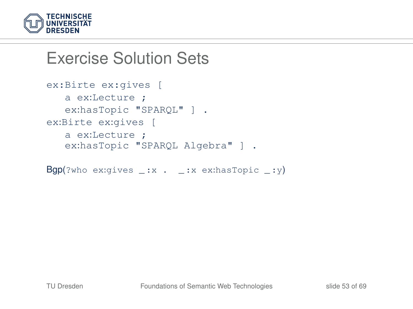

#### Exercise Solution Sets

```
ex:Birte ex:gives [
  a ex:Lecture ;
   ex:hasTopic "SPAROL" ] .
ex:Birte ex:gives [
  a ex:Lecture ;
   ex:hasTopic "SPAROL Algebra" ] .
```

```
Bgp(?who ex:gives _:x . _:x ex:hasTopic _:y)
```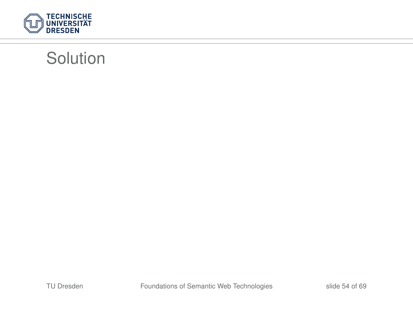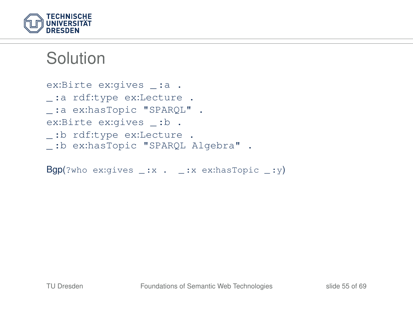

```
ex:Birte ex:gives _: a .
_ :a rdf:type ex:Lecture .
_ :a ex:hasTopic "SPARQL" .
ex:Birte ex:gives _:b .
_ :b rdf:type ex:Lecture .
_ :b ex:hasTopic "SPARQL Algebra" .
```
 $Bgp$ (?who ex:gives \_:x . \_:x ex:hasTopic \_:y)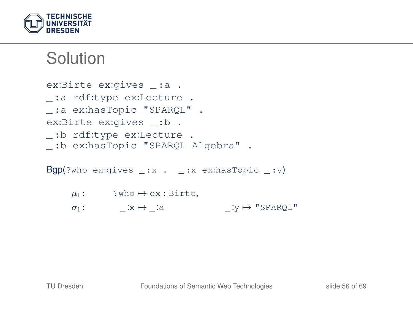

```
ex:Birte ex:gives _: a .
_ :a rdf:type ex:Lecture .
_ :a ex:hasTopic "SPARQL" .
ex:Birte ex:gives _:b .
_ :b rdf:type ex:Lecture .
_ :b ex:hasTopic "SPARQL Algebra" .
Bgp(?who ex:gives _:x . _:x ex:hasTopic _:y)
```
 $\mu_1$ : ?who  $\mapsto$  ex : Birte,  $\sigma_1$ :  $x \mapsto$  : a  $: y \mapsto$  "SPARQL"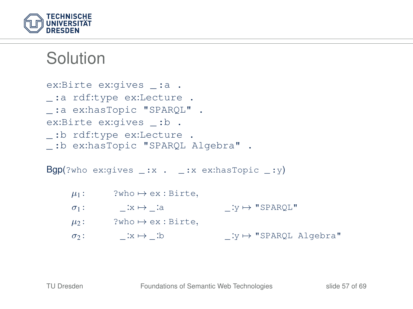

```
ex:Birte ex:gives _: a .
_ :a rdf:type ex:Lecture .
_ :a ex:hasTopic "SPARQL" .
ex:Birte ex:gives _:b .
_ :b rdf:type ex:Lecture .
_ :b ex:hasTopic "SPARQL Algebra" .
```
 $Bgp$ (?who ex:gives \_:x . \_:x ex:hasTopic \_:y)

$$
\mu_1: \quad \text{?who} \mapsto \text{ex} : \text{Birte},
$$
\n
$$
\sigma_1: \quad \_\_x \mapsto \_\_\_\text{ia} \quad \_\_Y \mapsto \text{"SPARQL"}\n\n\mu_2: \quad \text{?who} \mapsto \text{ex} : \text{Birte},
$$
\n
$$
\sigma_2: \quad \_\_\_\xmapsto \_\_\_\text{ib} \quad \_\_\text{iy} \mapsto \text{"SPARQL Algebra"}
$$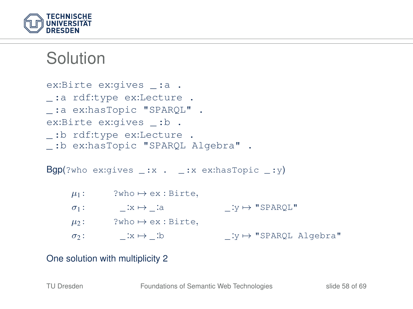

```
ex:Birte ex:gives _: a .
_ :a rdf:type ex:Lecture .
_ :a ex:hasTopic "SPARQL" .
ex:Birte ex:gives _: b .
_ :b rdf:type ex:Lecture .
_ :b ex:hasTopic "SPARQL Algebra" .
Bgp(?who ex:gives _:x . _:x ex:hasTopic _:y)
```

```
\mu_1: ?who \mapsto ex : Birte,
\sigma_1: x \mapsto : a : y \mapsto "SPARQL"
\mu_2: ?who \mapsto ex : Birte,
\sigma_2: \qquad \qquad \therefore x \mapsto \qquad :b \qquad \qquad \therefore y \mapsto \text{"SPARQL Algebra"}
```
#### One solution with multiplicity 2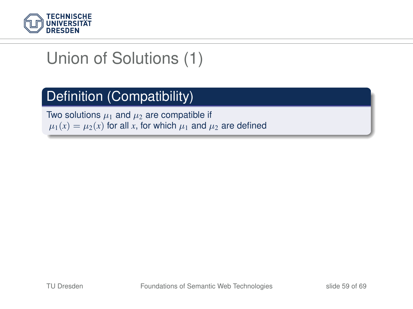

#### Definition (Compatibility)

Two solutions  $\mu_1$  and  $\mu_2$  are compatible if  $\mu_1(x) = \mu_2(x)$  for all *x*, for which  $\mu_1$  and  $\mu_2$  are defined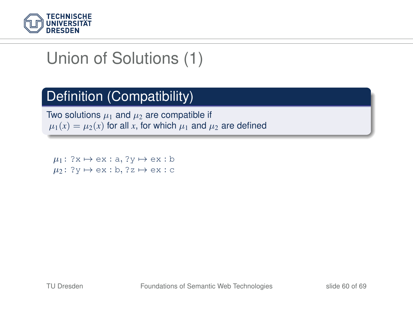

#### Definition (Compatibility)

Two solutions  $\mu_1$  and  $\mu_2$  are compatible if  $\mu_1(x) = \mu_2(x)$  for all x, for which  $\mu_1$  and  $\mu_2$  are defined

 $\mu_1$ : ?x  $\mapsto$  ex : a, ?y  $\mapsto$  ex : b  $\mu_2$ : ? $v \mapsto ex : b$ , ?z  $\mapsto ex : c$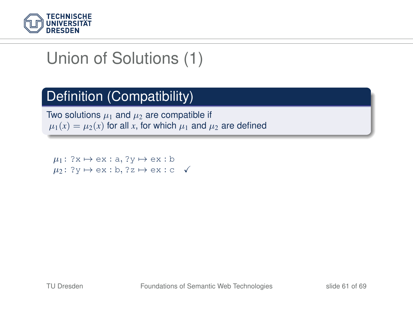

#### Definition (Compatibility)

Two solutions  $\mu_1$  and  $\mu_2$  are compatible if  $\mu_1(x) = \mu_2(x)$  for all x, for which  $\mu_1$  and  $\mu_2$  are defined

 $\mu_1$ : ?x  $\mapsto$  ex : a, ?y  $\mapsto$  ex : b  $\mu_2$ : ? $v \mapsto ex : b$ . ?z  $\mapsto ex : c \checkmark$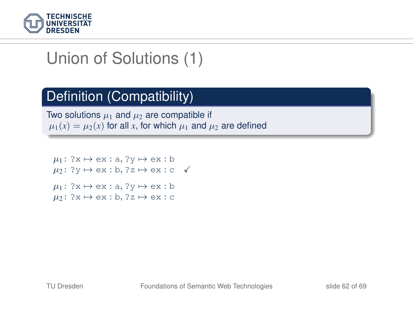

#### Definition (Compatibility)

Two solutions  $\mu_1$  and  $\mu_2$  are compatible if  $\mu_1(x) = \mu_2(x)$  for all x, for which  $\mu_1$  and  $\mu_2$  are defined

 $\mu_1$ : ?x  $\mapsto$  ex : a, ?y  $\mapsto$  ex : b  $\mu_2$ : ?v  $\mapsto$  ex : b, ?z  $\mapsto$  ex : c  $\checkmark$  $\mu_1$ : ?x  $\mapsto$  ex : a, ?y  $\mapsto$  ex : b  $\mu_2$ : ?x  $\mapsto$  ex : b, ?z  $\mapsto$  ex : c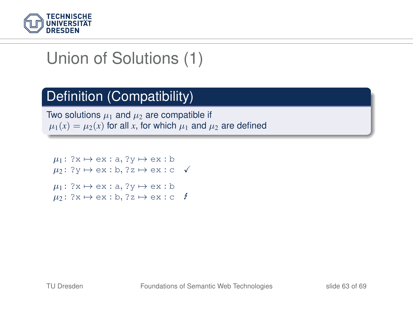

#### Definition (Compatibility)

Two solutions  $\mu_1$  and  $\mu_2$  are compatible if  $\mu_1(x) = \mu_2(x)$  for all x, for which  $\mu_1$  and  $\mu_2$  are defined

 $\mu_1$ : ?x  $\mapsto$  ex : a, ?y  $\mapsto$  ex : b  $\mu_2$ : ?v  $\mapsto$  ex : b, ?z  $\mapsto$  ex : c  $\checkmark$  $\mu_1$ : ?x  $\mapsto$  ex : a, ?y  $\mapsto$  ex : b  $\mu_2$ : ?x  $\mapsto$  ex : b, ?z  $\mapsto$  ex : c  $\ell$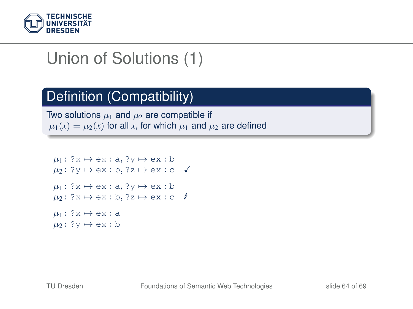

#### Definition (Compatibility)

Two solutions  $\mu_1$  and  $\mu_2$  are compatible if  $\mu_1(x) = \mu_2(x)$  for all x, for which  $\mu_1$  and  $\mu_2$  are defined

```
\mu_1: ?x \mapsto ex : a, ?y \mapsto ex : b
\mu_2: ?v \mapsto ex : b, ?z \mapsto ex : c \checkmark\mu_1: ?x \mapsto ex : a, ?y \mapsto ex : b
\mu_2: ?x \mapsto ex : b, ?z \mapsto ex : c \ell\mu_1: ?x \mapsto ex : a
\mu_2: ?v \mapsto ex : b
```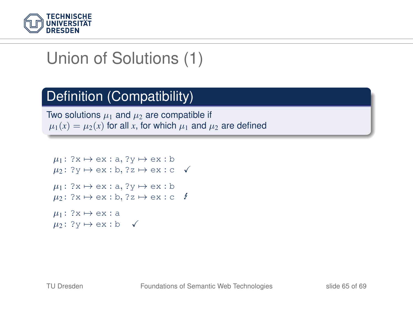

#### Definition (Compatibility)

Two solutions  $\mu_1$  and  $\mu_2$  are compatible if  $\mu_1(x) = \mu_2(x)$  for all x, for which  $\mu_1$  and  $\mu_2$  are defined

```
\mu_1: ?x \mapsto ex : a, ?y \mapsto ex : b
\mu_2: ?v \mapsto ex : b, ?z \mapsto ex : c \checkmark\mu_1: ?x \mapsto ex : a, ?y \mapsto ex : b
\mu_2: ?x \mapsto ex : b, ?z \mapsto ex : c \ell\mu_1: ?x \mapsto ex : a
\mu_2: ?y \mapsto ex : b \checkmark
```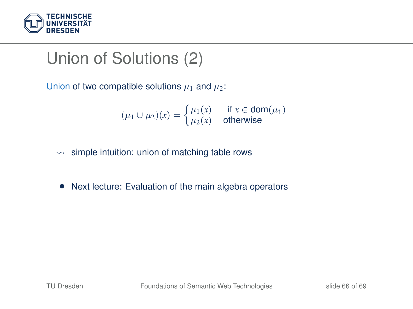

Union of two compatible solutions  $\mu_1$  and  $\mu_2$ :

$$
(\mu_1 \cup \mu_2)(x) = \begin{cases} \mu_1(x) & \text{if } x \in \text{dom}(\mu_1) \\ \mu_2(x) & \text{otherwise} \end{cases}
$$

- $\rightarrow$  simple intuition: union of matching table rows
- Next lecture: Evaluation of the main algebra operators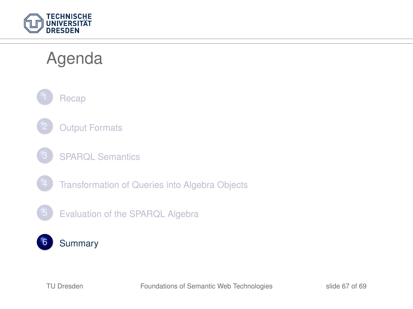

### Agenda



- **[Output Formats](#page-7-0)**
- [SPARQL Semantics](#page-15-0)
	- [Transformation of Queries into Algebra Objects](#page-23-0)
	- 5 [Evaluation of the SPARQL Algebra](#page-39-0)